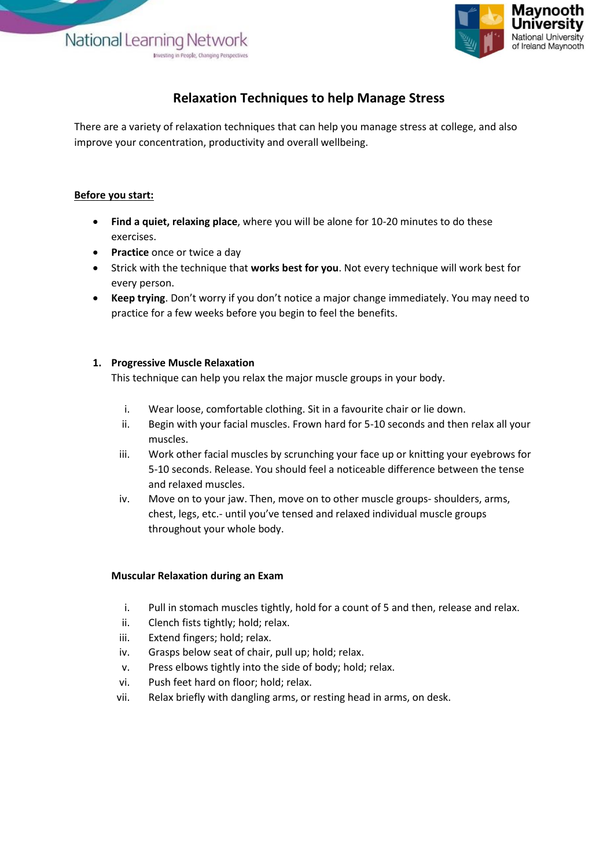National Learning Network Investing in Pegole, Changing Per



# **Relaxation Techniques to help Manage Stress**

There are a variety of relaxation techniques that can help you manage stress at college, and also improve your concentration, productivity and overall wellbeing.

### **Before you start:**

- **Find a quiet, relaxing place**, where you will be alone for 10-20 minutes to do these exercises.
- **•** Practice once or twice a day
- Strick with the technique that **works best for you**. Not every technique will work best for every person.
- **Keep trying**. Don't worry if you don't notice a major change immediately. You may need to practice for a few weeks before you begin to feel the benefits.

## **1. Progressive Muscle Relaxation**

This technique can help you relax the major muscle groups in your body.

- i. Wear loose, comfortable clothing. Sit in a favourite chair or lie down.
- ii. Begin with your facial muscles. Frown hard for 5-10 seconds and then relax all your muscles.
- iii. Work other facial muscles by scrunching your face up or knitting your eyebrows for 5-10 seconds. Release. You should feel a noticeable difference between the tense and relaxed muscles.
- iv. Move on to your jaw. Then, move on to other muscle groups- shoulders, arms, chest, legs, etc.- until you've tensed and relaxed individual muscle groups throughout your whole body.

## **Muscular Relaxation during an Exam**

- i. Pull in stomach muscles tightly, hold for a count of 5 and then, release and relax.
- ii. Clench fists tightly; hold; relax.
- iii. Extend fingers; hold; relax.
- iv. Grasps below seat of chair, pull up; hold; relax.
- v. Press elbows tightly into the side of body; hold; relax.
- vi. Push feet hard on floor; hold; relax.
- vii. Relax briefly with dangling arms, or resting head in arms, on desk.